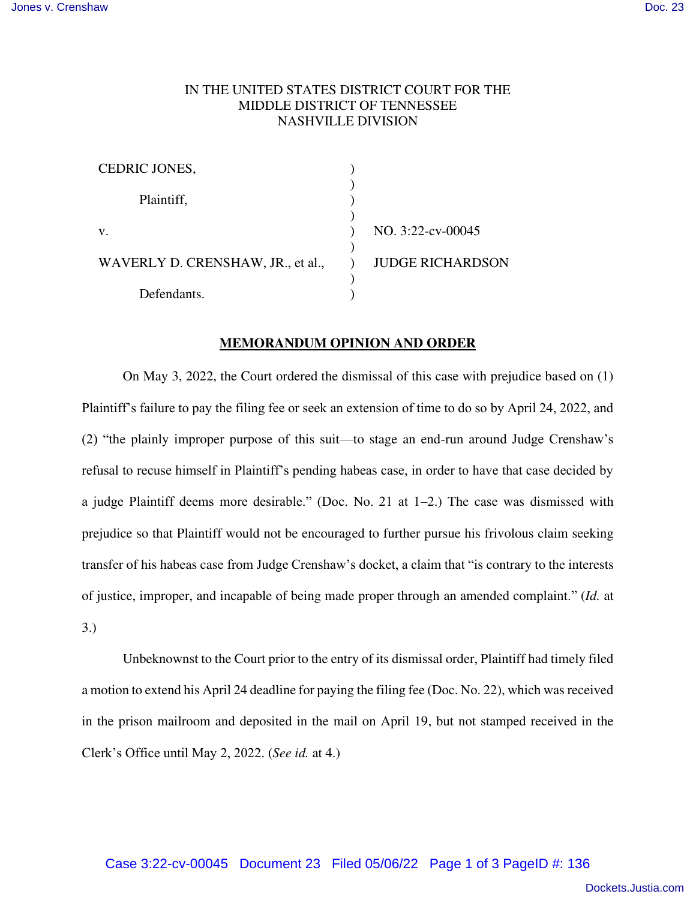## IN THE UNITED STATES DISTRICT COURT FOR THE MIDDLE DISTRICT OF TENNESSEE NASHVILLE DIVISION

| <b>CEDRIC JONES,</b>              |                         |
|-----------------------------------|-------------------------|
|                                   |                         |
| Plaintiff,                        |                         |
|                                   |                         |
| V.                                | NO. 3:22-cv-00045       |
|                                   |                         |
| WAVERLY D. CRENSHAW, JR., et al., | <b>JUDGE RICHARDSON</b> |
|                                   |                         |
| Defendants.                       |                         |

## **MEMORANDUM OPINION AND ORDER**

On May 3, 2022, the Court ordered the dismissal of this case with prejudice based on (1) Plaintiff's failure to pay the filing fee or seek an extension of time to do so by April 24, 2022, and (2) "the plainly improper purpose of this suit––to stage an end-run around Judge Crenshaw's refusal to recuse himself in Plaintiff's pending habeas case, in order to have that case decided by a judge Plaintiff deems more desirable." (Doc. No. 21 at 1–2.) The case was dismissed with prejudice so that Plaintiff would not be encouraged to further pursue his frivolous claim seeking transfer of his habeas case from Judge Crenshaw's docket, a claim that "is contrary to the interests of justice, improper, and incapable of being made proper through an amended complaint." (*Id.* at 3.)

Unbeknownst to the Court prior to the entry of its dismissal order, Plaintiff had timely filed a motion to extend his April 24 deadline for paying the filing fee (Doc. No. 22), which was received in the prison mailroom and deposited in the mail on April 19, but not stamped received in the Clerk's Office until May 2, 2022. (*See id.* at 4.)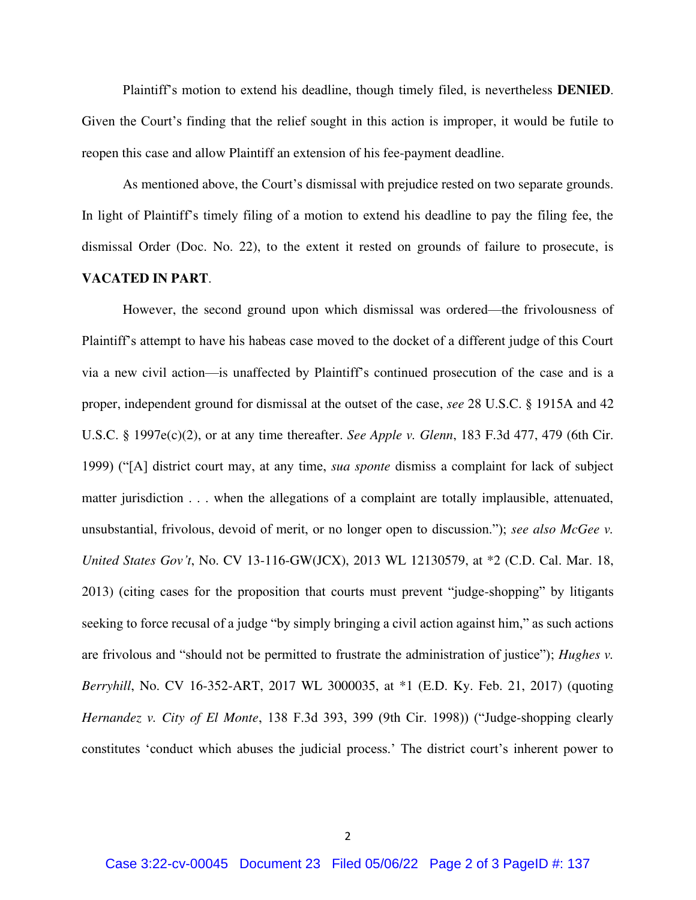Plaintiff's motion to extend his deadline, though timely filed, is nevertheless **DENIED**. Given the Court's finding that the relief sought in this action is improper, it would be futile to reopen this case and allow Plaintiff an extension of his fee-payment deadline.

As mentioned above, the Court's dismissal with prejudice rested on two separate grounds. In light of Plaintiff's timely filing of a motion to extend his deadline to pay the filing fee, the dismissal Order (Doc. No. 22), to the extent it rested on grounds of failure to prosecute, is **VACATED IN PART**.

However, the second ground upon which dismissal was ordered—the frivolousness of Plaintiff's attempt to have his habeas case moved to the docket of a different judge of this Court via a new civil action—is unaffected by Plaintiff's continued prosecution of the case and is a proper, independent ground for dismissal at the outset of the case, *see* 28 U.S.C. § 1915A and 42 U.S.C. § 1997e(c)(2), or at any time thereafter. *See Apple v. Glenn*, 183 F.3d 477, 479 (6th Cir. 1999) ("[A] district court may, at any time, *sua sponte* dismiss a complaint for lack of subject matter jurisdiction . . . when the allegations of a complaint are totally implausible, attenuated, unsubstantial, frivolous, devoid of merit, or no longer open to discussion."); *see also McGee v. United States Gov't*, No. CV 13-116-GW(JCX), 2013 WL 12130579, at \*2 (C.D. Cal. Mar. 18, 2013) (citing cases for the proposition that courts must prevent "judge-shopping" by litigants seeking to force recusal of a judge "by simply bringing a civil action against him," as such actions are frivolous and "should not be permitted to frustrate the administration of justice"); *Hughes v. Berryhill*, No. CV 16-352-ART, 2017 WL 3000035, at \*1 (E.D. Ky. Feb. 21, 2017) (quoting *Hernandez v. City of El Monte*, 138 F.3d 393, 399 (9th Cir. 1998)) ("Judge-shopping clearly constitutes 'conduct which abuses the judicial process.' The district court's inherent power to